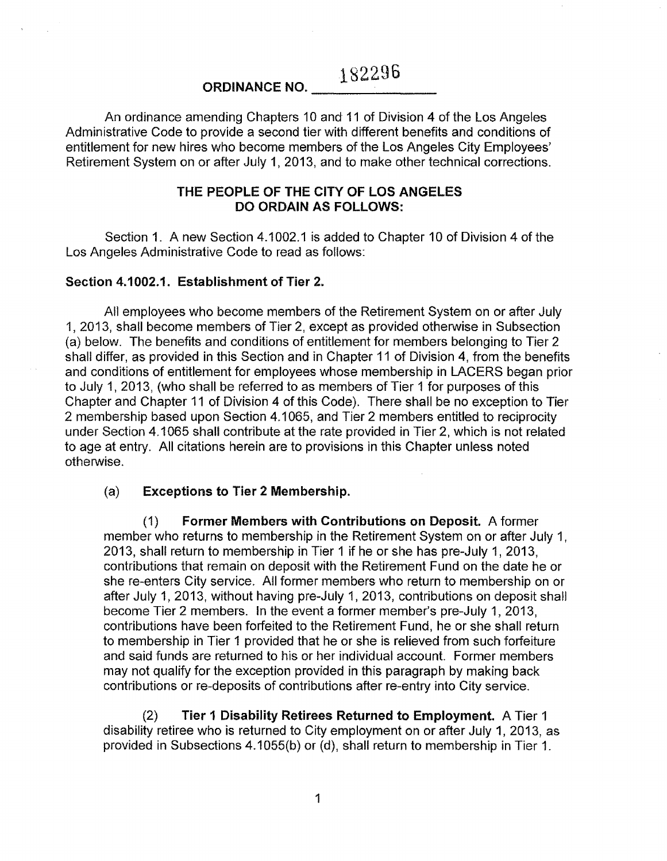182296

# ORDINANCE NO.

An ordinance amending Chapters 10 and 11 of Division 4 of the Los Angeles Administrative Code to provide a second tier with different benefits and conditions of entitlement for new hires who become members of the Los Angeles City Employees' Retirement System on or after July 1, 2013, and to make other technical corrections.

## THE PEOPLE OF THE CITY OF LOS ANGELES DO ORDAIN AS FOLLOWS:

Section 1. A new Section 4.1002.1 is added to Chapter 10 of Division 4 of the Los Angeles Administrative Code to read as follows:

## Section 4.1002.1. Establishment of Tier 2.

All employees who become members of the Retirement System on or after July 1, 2013, shall become members of Tier 2, except as provided otherwise in Subsection (a) below. The benefits and conditions of entitlement for members belonging to Tier 2 shall differ, as provided in this Section and in Chapter 11 of Division 4, from the benefits and conditions of entitlement for employees whose membership in LAGERS began prior to July 1, 2013, (who shall be referred to as members of Tier 1 for purposes of this Chapter and Chapter 11 of Division 4 of this Code). There shall be no exception to Tier 2 membership based upon Section 4.1065, and Tier 2 members entitled to reciprocity under Section 4.1065 shall contribute at the rate provided in Tier 2, which is not related to age at entry. All citations herein are to provisions in this Chapter unless noted otherwise.

#### (a) Exceptions to Tier 2 Membership.

(1) Former Members with Contributions on Deposit. A former member who returns to membership in the Retirement System on or after July 1, 2013, shall return to membership in Tier 1 if he or she has pre-July 1, 2013, contributions that remain on deposit with the Retirement Fund on the date he or she re-enters City service. All former members who return to membership on or after July 1, 2013, without having pre-July 1, 2013, contributions on deposit shall become Tier 2 members. In the event a former member's pre-July 1, 2013, contributions have been forfeited to the Retirement Fund, he or she shalt return to membership in Tier 1 provided that he or she is relieved from such forfeiture and said funds are returned to his or her individual account. Former members may not qualify for the exception provided in this paragraph by making back contributions or re-deposits of contributions after re-entry into City service.

(2) Tier 1 Disability Retirees Returned to Employment. A Tier 1 disability retiree who is returned to City employment on or after July 1, 2013, as provided in Subsections 4.1055(b) or (d), shall return to membership in Tier 1.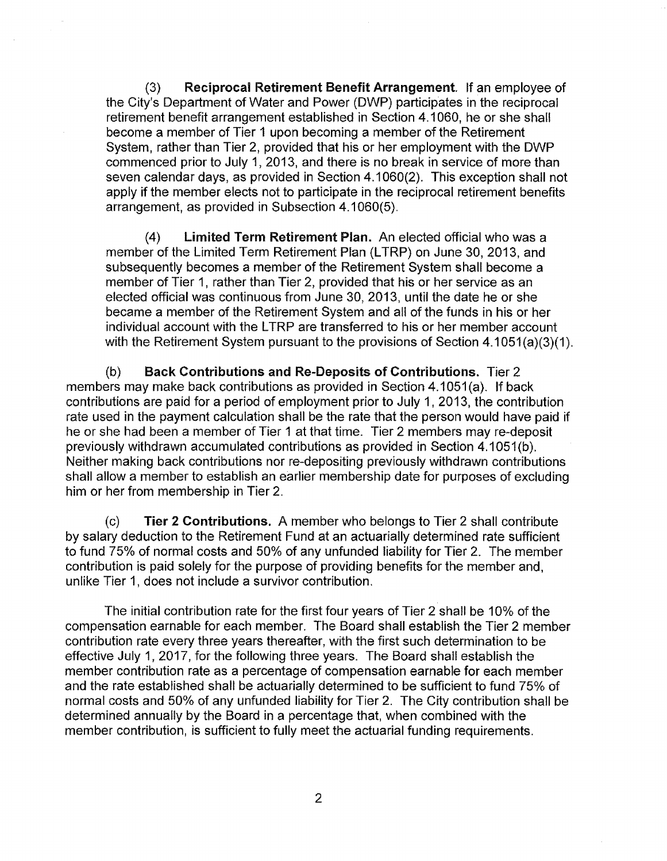(3) Reciprocal Retirement Benefit Arrangement. If an employee of the City's Department of Water and Power (DWP) participates in the reciprocal retirement benefit arrangement established in Section 4.1 060, he or she shall become a member of Tier 1 upon becoming a member of the Retirement System, rather than Tier 2, provided that his or her employment with the DWP commenced prior to July 1, 2013, and there is no break in service of more than seven calendar days, as provided in Section 4.1 060(2). This exception shall not apply if the member elects not to participate in the reciprocal retirement benefits arrangement, as provided in Subsection 4.1 060(5).

(4) Limited Term Retirement Plan. An elected official who was a member of the Limited Term Retirement Plan (LTRP) on June 30, 2013, and subsequently becomes a member of the Retirement System shall become a member of Tier 1, rather than Tier 2, provided that his or her service as an elected official was continuous from June 30, 2013, until the date he or she became a member of the Retirement System and all of the funds in his or her individual account with the LTRP are transferred to his or her member account with the Retirement System pursuant to the provisions of Section  $4.1051(a)(3)(1)$ .

(b) Back Contributions and Re-Deposits of Contributions. Tier 2 members may make back contributions as provided in Section 4.1051(a). If back contributions are paid for a period of employment prior to July 1, 2013, the contribution rate used in the payment calculation shall be the rate that the person would have paid if he or she had been a member of Tier 1 at that time. Tier 2 members may re-deposit previously withdrawn accumulated contributions as provided in Section 4.1051(b). Neither making back contributions nor re-depositing previously withdrawn contributions shall allow a member to establish an earlier membership date for purposes of excluding him or her from membership in Tier 2.

(c) Tier 2 Contributions. A member who belongs to Tier 2 shall contribute by salary deduction to the Retirement Fund at an actuarially determined rate sufficient to fund 75% of normal costs and 50% of any unfunded liability for Tier 2. The member contribution is paid solely for the purpose of providing benefits for the member and, unlike Tier 1, does not include a survivor contribution.

The initial contribution rate for the first four years of Tier 2 shall be 10% of the compensation earnable for each member. The Board shall establish the Tier 2 member contribution rate every three years thereafter, with the first such determination to be effective July 1, 2017, for the following three years. The Board shall establish the member contribution rate as a percentage of compensation earnable for each member and the rate established shall be actuarially determined to be sufficient to fund 75% of normal costs and 50% of any unfunded liability for Tier 2. The City contribution shall be determined annually by the Board in a percentage that, when combined with the member contribution, is sufficient to fully meet the actuarial funding requirements.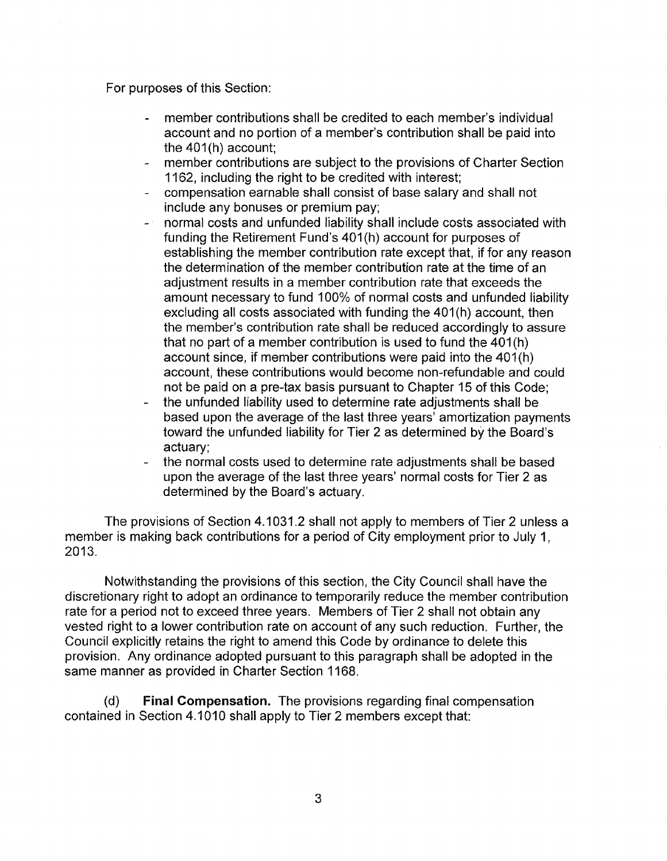For purposes of this Section:

- member contributions shall be credited to each member's individual  $\mathbf{L}$ account and no portion of a member's contribution shall be paid into the  $401(h)$  account:
- member contributions are subject to the provisions of Charter Section 1162, including the right to be credited with interest;
- compensation earnable shall consist of base salary and shall not include any bonuses or premium pay;
- **normal costs and unfunded liability shall include costs associated with** funding the Retirement Fund's 401(h) account for purposes of establishing the member contribution rate except that, if for any reason the determination of the member contribution rate at the time of an adjustment results in a member contribution rate that exceeds the amount necessary to fund 100% of normal costs and unfunded liability excluding all costs associated with funding the 401(h) account, then the member's contribution rate shall be reduced accordingly to assure that no part of a member contribution is used to fund the 401(h) account since, if member contributions were paid into the 401(h) account, these contributions would become non-refundable and could not be paid on a pre-tax basis pursuant to Chapter 15 of this Code;
- the unfunded liability used to determine rate adjustments shall be based upon the average of the last three years' amortization payments toward the unfunded liability for Tier 2 as determined by the Board's actuary;
- the normal costs used to determine rate adjustments shall be based upon the average of the last three years' normal costs for Tier 2 as determined by the Board's actuary.

The provisions of Section 4.1031.2 shall not apply to members of Tier 2 unless a member is making back contributions for a period of City employment prior to July 1, 2013.

Notwithstanding the provisions of this section, the City Council shall have the discretionary right to adopt an ordinance to temporarily reduce the member contribution rate for a period not to exceed three years. Members of Tier 2 shall not obtain any vested right to a lower contribution rate on account of any such reduction. Further, the Council explicitly retains the right to amend this Code by ordinance to delete this provision. Any ordinance adopted pursuant to this paragraph shall be adopted in the same manner as provided in Charter Section 1168.

(d) **Final Compensation.** The provisions regarding final compensation contained in Section 4.1 010 shall apply to Tier 2 members except that: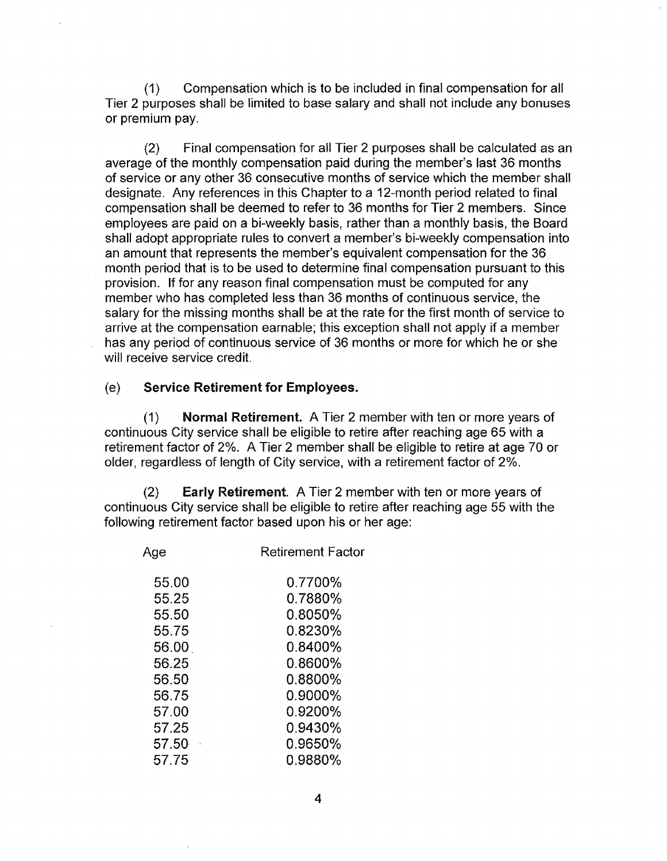(1) Compensation which is to be included in final compensation for all Tier 2 purposes shall be limited to base salary and shall not include any bonuses or premium pay.

(2) Final compensation for all Tier 2 purposes shall be calculated as an average of the monthly compensation paid during the member's last 36 months of service or any other 36 consecutive months of service which the member shall designate. Any references in this Chapter to a 12-month period related to final compensation shall be deemed to refer to 36 months for Tier 2 members. Since employees are paid on a bi-weekly basis, rather than a monthly basis, the Board shall adopt appropriate rules to convert a member's bi-weekly compensation into an amount that represents the member's equivalent compensation for the 36 month period that is to be used to determine final compensation pursuant to this provision. If for any reason final compensation must be computed for any member who has completed less than 36 months of continuous service, the salary for the missing months shall be at the rate for the first month of service to arrive at the compensation earnable; this exception shall not apply if a member has any period of continuous service of 36 months or more for which he or she will receive service credit.

#### (e) Service Retirement for Employees.

(1) Normal Retirement. A Tier 2 member with ten or more years of continuous City service shall be eligible to retire after reaching age 65 with a retirement factor of 2%. A Tier 2 member shall be eligible to retire at age 70 or older, regardless of length of City service, with a retirement factor of 2%.

(2) Early Retirement. A Tier 2 member with ten or more years of continuous City service shall be eligible to retire after reaching age 55 with the following retirement factor based upon his or her age:

| Age   | <b>Retirement Factor</b> |
|-------|--------------------------|
| 55.00 | 0.7700%                  |
| 55.25 | 0.7880%                  |
| 55.50 | 0.8050%                  |
| 55.75 | 0.8230%                  |
| 56.00 | $0.8400\%$               |
| 56.25 | 0.8600%                  |
| 56.50 | 0.8800%                  |
| 56.75 | 0.9000%                  |
| 57.00 | 0.9200%                  |
| 57.25 | 0.9430%                  |
| 57.50 | 0.9650%                  |
| 57.75 | 0.9880%                  |
|       |                          |

4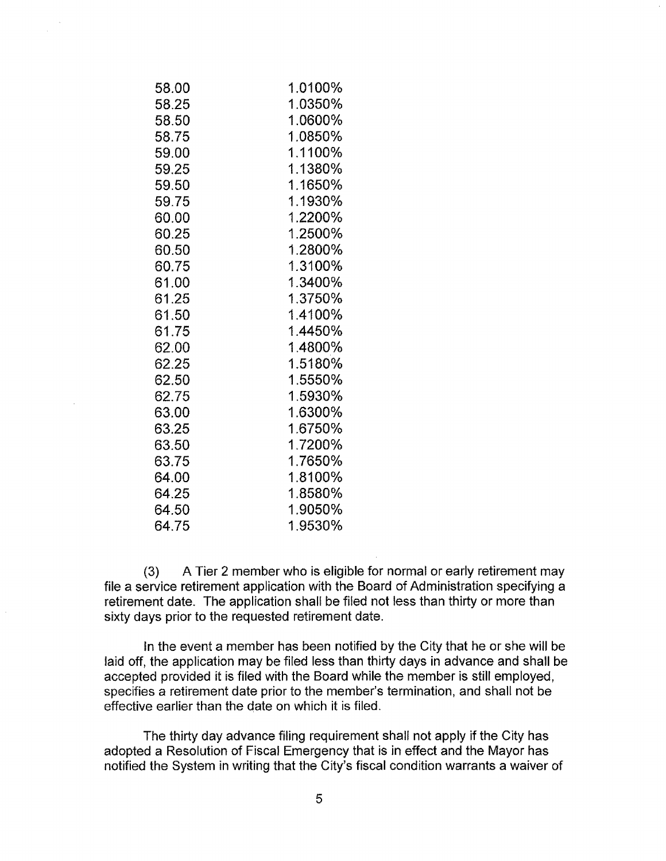| 58.00 | 1.0100% |
|-------|---------|
| 58.25 | 1.0350% |
| 58.50 | 1.0600% |
| 58.75 | 1.0850% |
| 59.00 | 1.1100% |
| 59.25 | 1.1380% |
| 59.50 | 1.1650% |
| 59.75 | 1.1930% |
| 60.00 | 1.2200% |
| 60.25 | 1.2500% |
| 60.50 | 1.2800% |
| 60.75 | 1.3100% |
| 61.00 | 1.3400% |
| 61.25 | 1.3750% |
| 61.50 | 1.4100% |
| 61.75 | 1.4450% |
| 62.00 | 1.4800% |
| 62.25 | 1.5180% |
| 62.50 | 1.5550% |
| 62.75 | 1.5930% |
| 63.00 | 1.6300% |
| 63.25 | 1.6750% |
| 63.50 | 1.7200% |
| 63.75 | 1.7650% |
| 64.00 | 1.8100% |
| 64.25 | 1.8580% |
| 64.50 | 1.9050% |
| 64.75 | 1.9530% |

(3) A Tier 2 member who is eligible for normal or early retirement may file a service retirement application with the Board of Administration specifying a retirement date. The application shall be filed not less than thirty or more than sixty days prior to the requested retirement date.

In the event a member has been notified by the City that he or she will be laid off, the application may be filed less than thirty days in advance and shall be accepted provided it is filed with the Board while the member is still employed, specifies a retirement date prior to the member's termination, and shall not be effective earlier than the date on which it is filed.

The thirty day advance filing requirement shall not apply if the City has adopted a Resolution of Fiscal Emergency that is in effect and the Mayor has notified the System in writing that the City's fiscal condition warrants a waiver of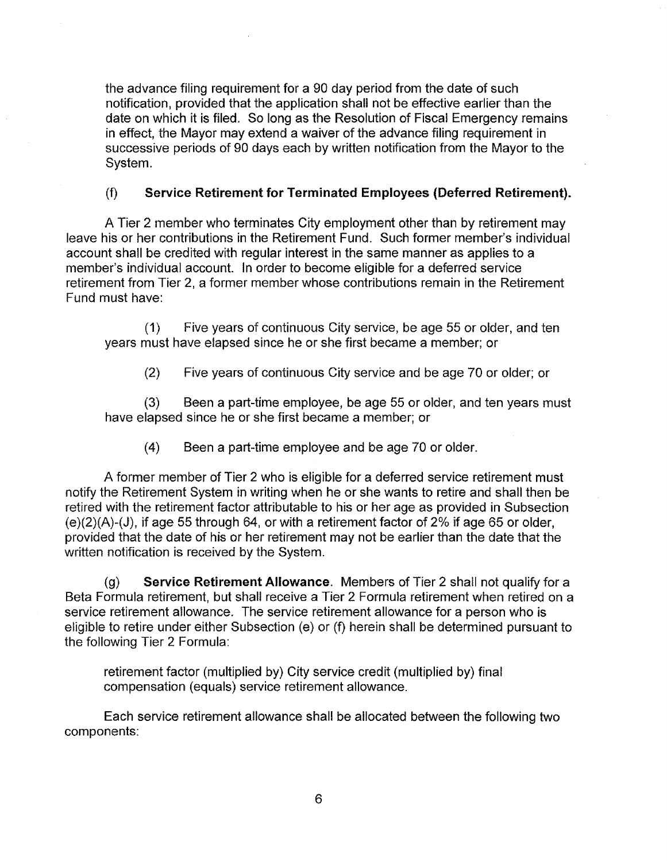the advance filing requirement for a 90 day period from the date of such notification, provided that the application shall not be effective earlier than the date on which it is filed. So long as the Resolution of Fiscal Emergency remains in effect, the Mayor may extend a waiver of the advance filing requirement in successive periods of 90 days each by written notification from the Mayor to the System.

## (f) **Service Retirement for Terminated Employees (Deferred Retirement).**

A Tier 2 member who terminates City employment other than by retirement may leave his or her contributions in the Retirement Fund. Such former member's individual account shall be credited with regular interest in the same manner as applies to a member's individual account. In order to become eligible for a deferred service retirement from Tier 2, a former member whose contributions remain in the Retirement Fund must have:

(1) Five years of continuous City service, be age 55 or older, and ten years must have elapsed since he or she first became a member; or

(2) Five years of continuous City service and be age 70 or older; or

(3) Been a part-time employee, be age 55 or older, and ten years must have elapsed since he or she first became a member; or

(4) Been a part-time employee and be age 70 or older.

A former member of Tier 2 who is eligible for a deferred service retirement must notify the Retirement System in writing when he or she wants to retire and shall then be retired with the retirement factor attributable to his or her age as provided in Subsection  $(e)(2)(A)-(J)$ , if age 55 through 64, or with a retirement factor of 2% if age 65 or older, provided that the date of his or her retirement may not be earlier than the date that the written notification is received by the System.

(g) **Service Retirement Allowance.** Members of Tier 2 shall not qualify for a Beta Formula retirement, but shall receive a Tier 2 Formula retirement when retired on a service retirement allowance. The service retirement allowance for a person who is eligible to retire under either Subsection (e) or (f) herein shall be determined pursuant to the following Tier 2 Formula:

retirement factor (multiplied by) City service credit (multiplied by) final compensation (equals) service retirement allowance.

Each service retirement allowance shall be allocated between the following two components: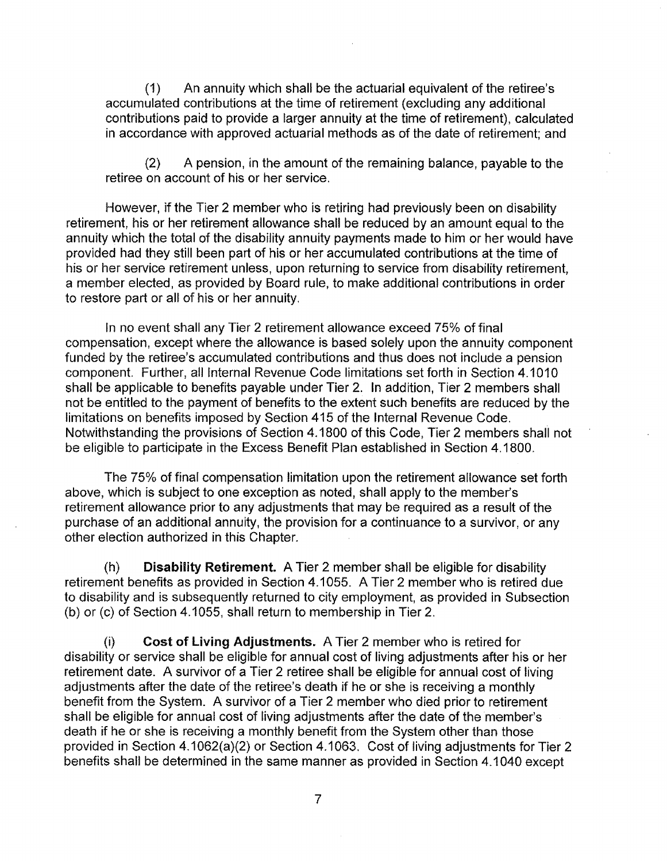(1) An annuity which shall be the actuarial equivalent of the retiree's accumulated contributions at the time of retirement (excluding any additional contributions paid to provide a larger annuity at the time of retirement), calculated in accordance with approved actuarial methods as of the date of retirement; and

(2) A pension, in the amount of the remaining balance, payable to the retiree on account of his or her service.

However, if the Tier 2 member who is retiring had previously been on disability retirement, his or her retirement allowance shall be reduced by an amount equal to the annuity which the total of the disability annuity payments made to him or her would have provided had they still been part of his or her accumulated contributions at the time of his or her service retirement unless, upon returning to service from disability retirement, a member elected, as provided by Board rule, to make additional contributions in order to restore part or all of his or her annuity.

In no event shall any Tier 2 retirement allowance exceed 75% of final compensation, except where the allowance is based solely upon the annuity component funded by the retiree's accumulated contributions and thus does not include a pension component. Further, all Internal Revenue Code limitations set forth in Section 4.1010 shall be applicable to benefits payable under Tier 2. In addition, Tier 2 members shall not be entitled to the payment of benefits to the extent such benefits are reduced by the limitations on benefits imposed by Section 415 of the Internal Revenue Code. Notwithstanding the provisions of Section 4.1800 of this Code, Tier 2 members shall not be eligible to participate in the Excess Benefit Plan established in Section 4.1800.

The 75% of final compensation limitation upon the retirement allowance set forth above, which is subject to one exception as noted, shall apply to the member's retirement allowance prior to any adjustments that may be required as a result of the purchase of an additional annuity, the provision for a continuance to a survivor, or any other election authorized in this Chapter.

(h) **Disability Retirement.** A Tier 2 member shall be eligible for disability retirement benefits as provided in Section 4.1055. A Tier 2 member who is retired due to disability and is subsequently returned to city employment, as provided in Subsection (b) or (c) of Section 4.1055, shall return to membership in Tier 2.

(i) Cost **of living Adjustments.** A Tier 2 member who is retired for disability or service shall be eligible for annual cost of living adjustments after his or her retirement date. A survivor of a Tier 2 retiree shall be eligible for annual cost of living adjustments after the date of the retiree's death if he or she is receiving a monthly benefit from the System. A survivor of a Tier 2 member who died prior to retirement shall be eligible for annual cost of living adjustments after the date of the member's death if he or she is receiving a monthly benefit from the System other than those provided in Section 4.1 062(a)(2) or Section 4.1063. Cost of living adjustments for Tier 2 benefits shall be determined in the same manner as provided in Section 4.1 040 except

7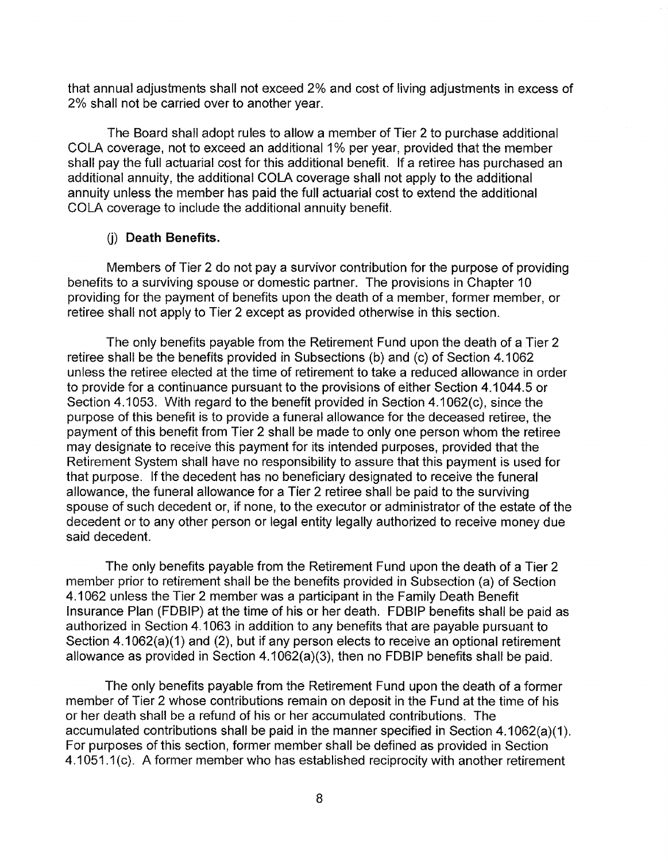that annual adjustments shall not exceed 2% and cost of living adjustments in excess of 2% shall not be carried over to another year.

The Board shall adopt rules to allow a member of Tier 2 to purchase additional COLA coverage, not to exceed an additional 1% per year, provided that the member shall pay the full actuarial cost for this additional benefit. If a retiree has purchased an additional annuity, the additional COLA coverage shall not apply to the additional annuity unless the member has paid the full actuarial cost to extend the additional COLA coverage to include the additional annuity benefit.

## (i) Death Benefits.

Members of Tier 2 do not pay a survivor contribution for the purpose of providing benefits to a surviving spouse or domestic partner. The provisions in Chapter 10 providing for the payment of benefits upon the death of a member, former member, or retiree shall not apply to Tier 2 except as provided otherwise in this section.

The only benefits payable from the Retirement Fund upon the death of a Tier 2 retiree shall be the benefits provided in Subsections (b) and (c) of Section 4.1062 unless the retiree elected at the time of retirement to take a reduced allowance in order to provide for a continuance pursuant to the provisions of either Section 4.1 044.5 or Section 4.1053. With regard to the benefit provided in Section 4.1 062(c), since the purpose of this benefit is to provide a funeral allowance for the deceased retiree, the payment of this benefit from Tier 2 shall be made to only one person whom the retiree may designate to receive this payment for its intended purposes, provided that the Retirement System shall have no responsibility to assure that this payment is used for that purpose. If the decedent has no beneficiary designated to receive the funeral allowance, the funeral allowance for a Tier 2 retiree shall be paid to the surviving spouse of such decedent or, if none, to the executor or administrator of the estate of the decedent or to any other person or legal entity legally authorized to receive money due said decedent.

The only benefits payable from the Retirement Fund upon the death of a Tier 2 member prior to retirement shall be the benefits provided in Subsection (a) of Section 4.1062 unless the Tier 2 member was a participant in the Family Death Benefit Insurance Plan (FDBIP) at the time of his or her death. FDBIP benefits shall be paid as authorized in Section 4.1 063 in addition to any benefits that are payable pursuant to Section 4.1062(a)(1) and (2), but if any person elects to receive an optional retirement allowance as provided in Section 4.1 062(a)(3), then no FDBIP benefits shall be paid.

The only benefits payable from the Retirement Fund upon the death of a former member of Tier 2 whose contributions remain on deposit in the Fund at the time of his or her death shall be a refund of his or her accumulated contributions. The accumulated contributions shall be paid in the manner specified in Section 4.1062(a)(1). For purposes of this section, former member shall be defined as provided in Section 4.1051.1 (c). A former member who has established reciprocity with another retirement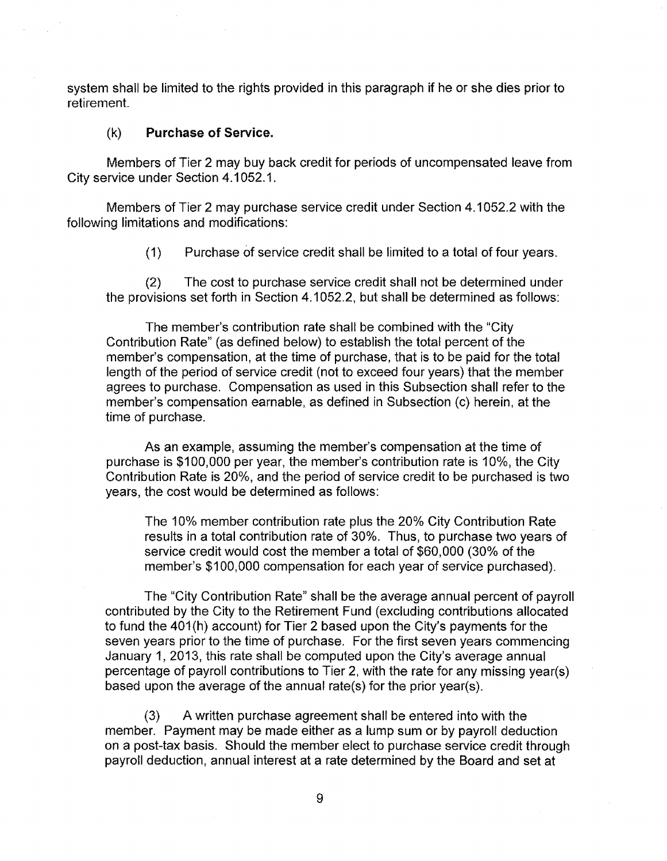system shall be limited to the rights provided in this paragraph if he or she dies prior to retirement.

#### (k) **Purchase of Service.**

Members of Tier 2 may buy back credit for periods of uncompensated leave from City service under Section 4.1 052.1.

Members of Tier 2 may purchase service credit under Section 4.1 052.2 with the following limitations and modifications:

**(1)** Purchase of service credit shall be limited to a total of four years.

(2) The cost to purchase service credit shall not be determined under the provisions set forth in Section 4.1 052.2, but shall be determined as follows:

The member's contribution rate shall be combined with the "City Contribution Rate" (as defined below) to establish the total percent of the member's compensation, at the time of purchase, that is to be paid for the total length of the period of service credit (not to exceed four years) that the member agrees to purchase. Compensation as used in this Subsection shall refer to the member's compensation earnable, as defined in Subsection (c) herein, at the time of purchase.

As an example, assuming the member's compensation at the time of purchase is \$100,000 per year, the member's contribution rate is 10%, the City Contribution Rate is 20%, and the period of service credit to be purchased is two years, the cost would be determined as follows:

The 10% member contribution rate plus the 20% City Contribution Rate results in a total contribution rate of 30%. Thus, to purchase two years of service credit would cost the member a total of \$60,000 (30% of the member's \$100,000 compensation for each year of service purchased).

The "City Contribution Rate" shall be the average annual percent of payroll contributed by the City to the Retirement Fund (excluding contributions allocated to fund the 401(h) account) for Tier 2 based upon the City's payments for the seven years prior to the time of purchase. For the first seven years commencing January 1, 2013, this rate shall be computed upon the City's average annual percentage of payroll contributions to Tier 2, with the rate for any missing year(s) based upon the average of the annual rate(s) for the prior year(s).

(3) A written purchase agreement shall be entered into with the member. Payment may be made either as a lump sum or by payroll deduction on a post-tax basis. Should the member elect to purchase service credit through payroll deduction, annual interest at a rate determined by the Board and set at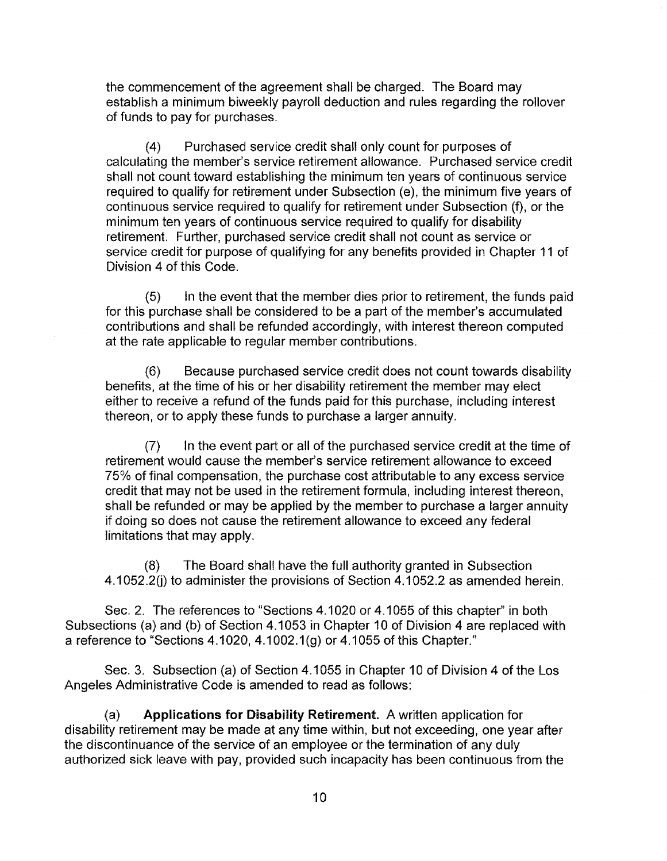the commencement of the agreement shall be charged. The Board may establish a minimum biweekly payroll deduction and rules regarding the rollover of funds to pay for purchases.

(4) Purchased service credit shall only count for purposes of calculating the member's service retirement allowance. Purchased service credit shall not count toward establishing the minimum ten years of continuous service required to qualify for retirement under Subsection (e), the minimum five years of continuous service required to qualify for retirement under Subsection (f), or the minimum ten years of continuous service required to qualify for disability retirement. Further, purchased service credit shall not count as service or service credit for purpose of qualifying for any benefits provided in Chapter 11 of Division 4 of this Code.

(5) In the event that the member dies prior to retirement, the funds paid for this purchase shall be considered to be a part of the member's accumulated contributions and shall be refunded accordingly, with interest thereon computed at the rate applicable to regular member contributions.

(6) Because purchased service credit does not count towards disability benefits, at the time of his or her disability retirement the member may elect either to receive a refund of the funds paid for this purchase, including interest thereon, or to apply these funds to purchase a larger annuity.

(7) In the event part or all of the purchased service credit at the time of retirement would cause the member's service retirement allowance to exceed 75% of final compensation, the purchase cost attributable to any excess service credit that may not be used in the retirement formula, including interest thereon, shall be refunded or may be applied by the member to purchase a larger annuity if doing so does not cause the retirement allowance to exceed any federal limitations that may apply.

(8) The Board shall have the full authority granted in Subsection 4.1052.2(j) to administer the provisions of Section 4.1052.2 as amended herein.

Sec. 2. The references to "Sections 4.1020 or 4.1055 of this chapter" in both Subsections (a) and (b) of Section 4.1053 in Chapter 10 of Division 4 are replaced with a reference to "Sections  $4.1020$ ,  $4.1002.1$ (g) or  $4.1055$  of this Chapter."

Sec. 3. Subsection (a) of Section 4.1055 in Chapter 10 of Division 4 of the Los Angeles Administrative Code is amended to read as follows:

(a) Applications for Disability Retirement. A written application for disability retirement may be made at any time within, but not exceeding, one year after the discontinuance of the service of an employee or the termination of any duly authorized sick leave with pay, provided such incapacity has been continuous from the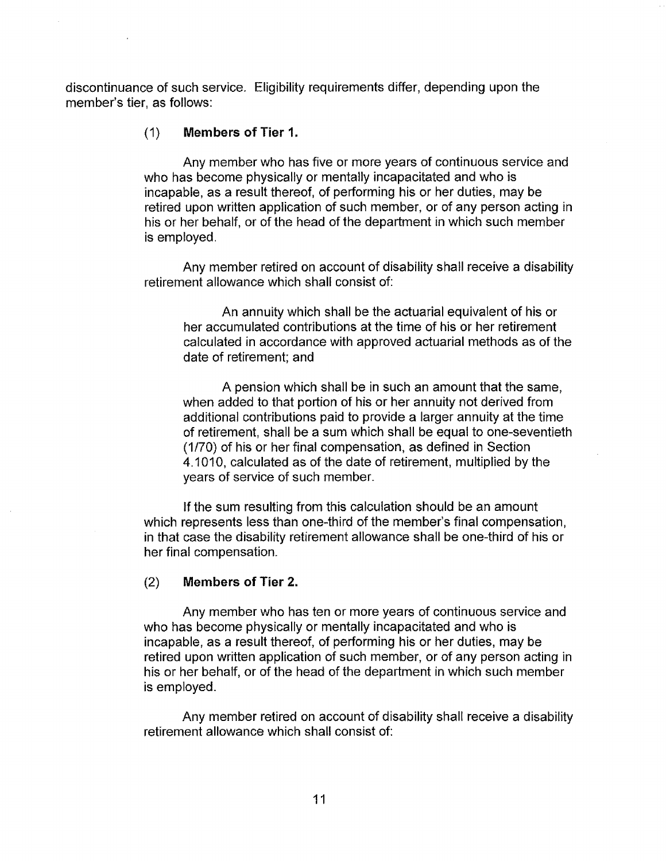discontinuance of such service. Eligibility requirements differ, depending upon the member's tier, as follows:

## (1) **Members of Tier 1.**

Any member who has five or more years of continuous service and who has become physically or mentally incapacitated and who is incapable, as a result thereof, of performing his or her duties, may be retired upon written application of such member, or of any person acting in his or her behalf, or of the head of the department in which such member is employed.

Any member retired on account of disability shall receive a disability retirement allowance which shall consist of:

An annuity which shall be the actuarial equivalent of his or her accumulated contributions at the time of his or her retirement calculated in accordance with approved actuarial methods as of the date of retirement; and

A pension which shall be in such an amount that the same, when added to that portion of his or her annuity not derived from additional contributions paid to provide a larger annuity at the time of retirement, shall be a sum which shall be equal to one-seventieth (1/70) of his or her final compensation, as defined in Section 4.1010, calculated as of the date of retirement, multiplied by the years of service of such member.

If the sum resulting from this calculation should be an amount which represents less than one-third of the member's final compensation, in that case the disability retirement allowance shall be one-third of his or her final compensation.

## (2) **Members of Tier 2.**

Any member who has ten or more years of continuous service and who has become physically or mentally incapacitated and who is incapable, as a result thereof, of performing his or her duties, may be retired upon written application of such member, or of any person acting in his or her behalf, or of the head of the department in which such member is employed.

Any member retired on account of disability shall receive a disability retirement allowance which shall consist of: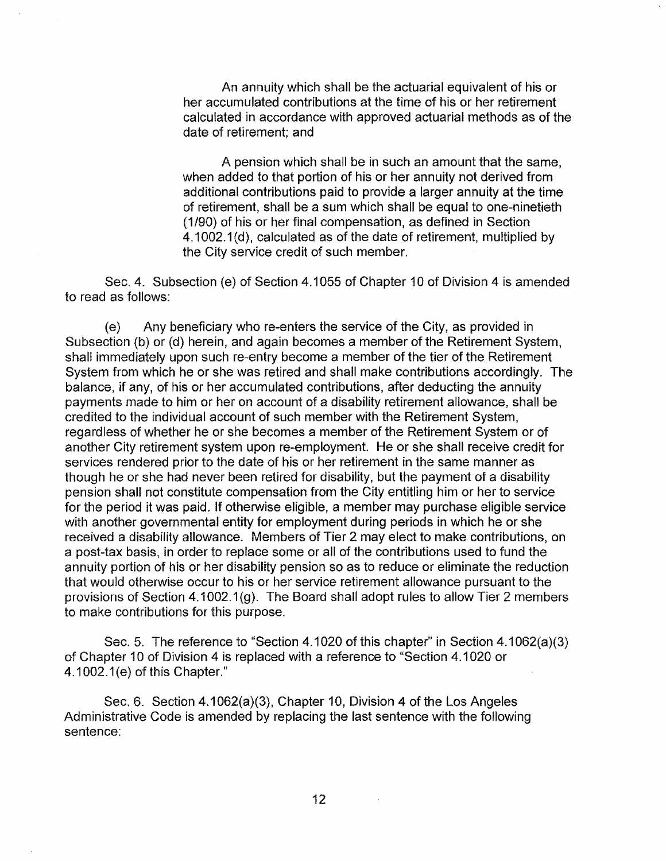An annuity which shall be the actuarial equivalent of his or her accumulated contributions at the time of his or her retirement calculated in accordance with approved actuarial methods as of the date of retirement; and

A pension which shall be in such an amount that the same, when added to that portion of his or her annuity not derived from additional contributions paid to provide a larger annuity at the time of retirement, shall be a sum which shall be equal to one-ninetieth (1/90) of his or her final compensation, as defined in Section 4.1002.1 (d), calculated as of the date of retirement, multiplied by the City service credit of such member.

Sec. 4. Subsection (e) of Section 4.1055 of Chapter 10 of Division 4 is amended to read as follows:

(e) Any beneficiary who re-enters the service of the City, as provided in Subsection (b) or (d) herein, and again becomes a member of the Retirement System, shall immediately upon such re-entry become a member of the tier of the Retirement System from which he or she was retired and shall make contributions accordingly. The balance, if any, of his or her accumulated contributions, after deducting the annuity payments made to him or her on account of a disability retirement allowance, shall be credited to the individual account of such member with the Retirement System, regardless of whether he or she becomes a member of the Retirement System or of another City retirement system upon re-employment. He or she shall receive credit for services rendered prior to the date of his or her retirement in the same manner as though he or she had never been retired for disability, but the payment of a disability pension shall not constitute compensation from the City entitling him or her to service for the period it was paid. If otherwise eligible, a member may purchase eligible service with another governmental entity for employment during periods in which he or she received a disability allowance. Members of Tier 2 may elect to make contributions, on a post-tax basis, in order to replace some or all of the contributions used to fund the annuity portion of his or her disability pension so as to reduce or eliminate the reduction that would otherwise occur to his or her service retirement allowance pursuant to the provisions of Section 4.1002.1 (g). The Board shall adopt rules to allow Tier 2 members to make contributions for this purpose.

Sec. 5. The reference to "Section 4.1020 of this chapter" in Section 4.1 062(a)(3) of Chapter 10 of Division 4 is replaced with a reference to "Section 4.1020 or 4.1002.1 (e) of this Chapter."

Sec. 6. Section 4.1062(a)(3), Chapter 10, Division 4 of the Los Angeles Administrative Code is amended by replacing the last sentence with the following sentence: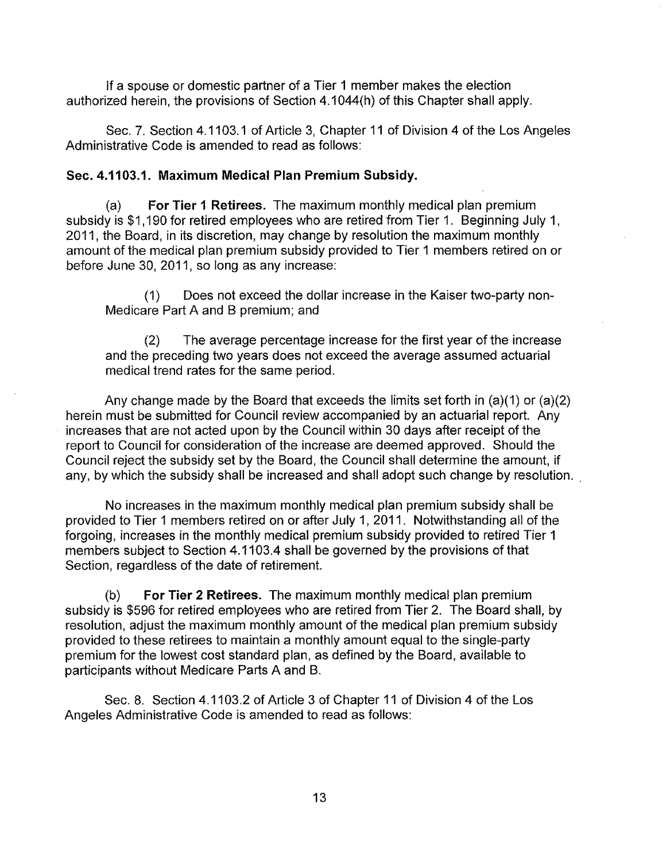If a spouse or domestic partner of a Tier **1** member makes the election authorized herein, the provisions of Section 4.1 044(h) of this Chapter shall apply.

Sec. 7. Section 4.1103.1 of Article 3, Chapter 11 of Division 4 of the Los Angeles Administrative Code is amended to read as follows:

#### **Sec. 4.1103.1. Maximum Medical Plan Premium Subsidy.**

(a) **For Tier 1 Retirees.** The maximum monthly medical plan premium subsidy is \$1,190 for retired employees who are retired from Tier 1. Beginning July 1, 2011, the Board, in its discretion, may change by resolution the maximum monthly amount of the medical plan premium subsidy provided to Tier 1 members retired on or before June 30, 2011, so long as any increase:

(1) Does not exceed the dollar increase in the Kaiser two-party non-Medicare Part A and B premium; and

(2) The average percentage increase for the first year of the increase and the preceding two years does not exceed the average assumed actuarial medical trend rates for the same period.

Any change made by the Board that exceeds the limits set forth in (a)(1) or (a)(2) herein must be submitted for Council review accompanied by an actuarial report. Any increases that are not acted upon by the Council within 30 days after receipt of the report to Council for consideration of the increase are deemed approved. Should the Council reject the subsidy set by the Board, the Council shall determine the amount, if any, by which the subsidy shall be increased and shall adopt such change by resolution.

No increases in the maximum monthly medical plan premium subsidy shall be provided to Tier 1 members retired on or after July 1, 2011. Notwithstanding all of the forgoing, increases in the monthly medical premium subsidy provided to retired Tier **1**  members subject to Section 4.1103.4 shall be governed by the provisions of that Section, regardless of the date of retirement.

(b) **For Tier 2 Retirees.** The maximum monthly medical plan premium subsidy is \$596 for retired employees who are retired from Tier 2. The Board shall, by resolution, adjust the maximum monthly amount of the medical plan premium subsidy provided to these retirees to maintain a monthly amount equal to the single-party premium for the lowest cost standard plan, as defined by the Board, available to participants without Medicare Parts A and B.

Sec. 8. Section 4.1103.2 of Article 3 of Chapter 11 of Division 4 of the Los Angeles Administrative Code is amended to read as follows: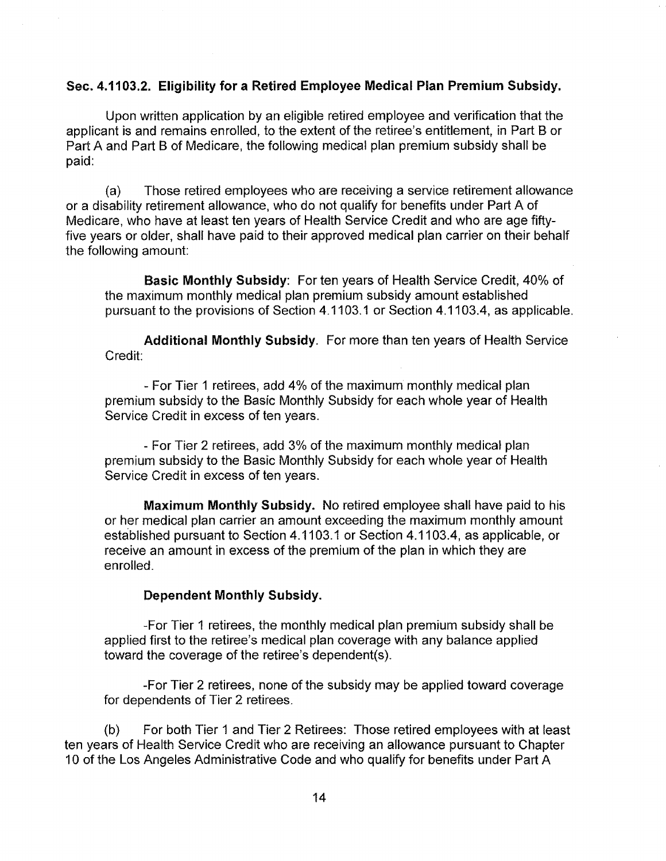## Sec. 4.11 03.2. Eligibility for a Retired Employee Medical Plan Premium Subsidy.

Upon written application by an eligible retired employee and verification that the applicant is and remains enrolled, to the extent of the retiree's entitlement, in Part 8 or Part A and Part 8 of Medicare, the following medical plan premium subsidy shall be paid:

(a) Those retired employees who are receiving a service retirement allowance or a disability retirement allowance, who do not qualify for benefits under Part A of Medicare, who have at least ten years of Health Service Credit and who are age fiftyfive years or older, shall have paid to their approved medical plan carrier on their behalf the following amount:

Basic Monthly Subsidy: For ten years of Health Service Credit, 40% of the maximum monthly medical plan premium subsidy amount established pursuant to the provisions of Section 4.1103.1 or Section 4.1103.4, as applicable.

Additional Monthly Subsidy. For more than ten years of Health Service Credit:

- For Tier 1 retirees, add 4% of the maximum monthly medical plan premium subsidy to the Basic Monthly Subsidy for each whole year of Health Service Credit in excess of ten years.

- For Tier 2 retirees, add 3% of the maximum monthly medical plan premium subsidy to the Basic Monthly Subsidy for each whole year of Health Service Credit in excess of ten years.

Maximum Monthly Subsidy. No retired employee shall have paid to his or her medical plan carrier an amount exceeding the maximum monthly amount established pursuant to Section 4.1103.1 or Section 4.1103.4, as applicable, or receive an amount in excess of the premium of the plan in which they are enrolled.

## Dependent Monthly Subsidy.

-For Tier 1 retirees, the monthly medical plan premium subsidy shall be applied first to the retiree's medical plan coverage with any balance applied toward the coverage of the retiree's dependent(s).

-For Tier 2 retirees, none of the subsidy may be applied toward coverage for dependents of Tier 2 retirees.

(b) For both Tier 1 and Tier 2 Retirees: Those retired employees with at least ten years of Health Service Credit who are receiving an allowance pursuant to Chapter 10 of the Los Angeles Administrative Code and who qualify for benefits under Part A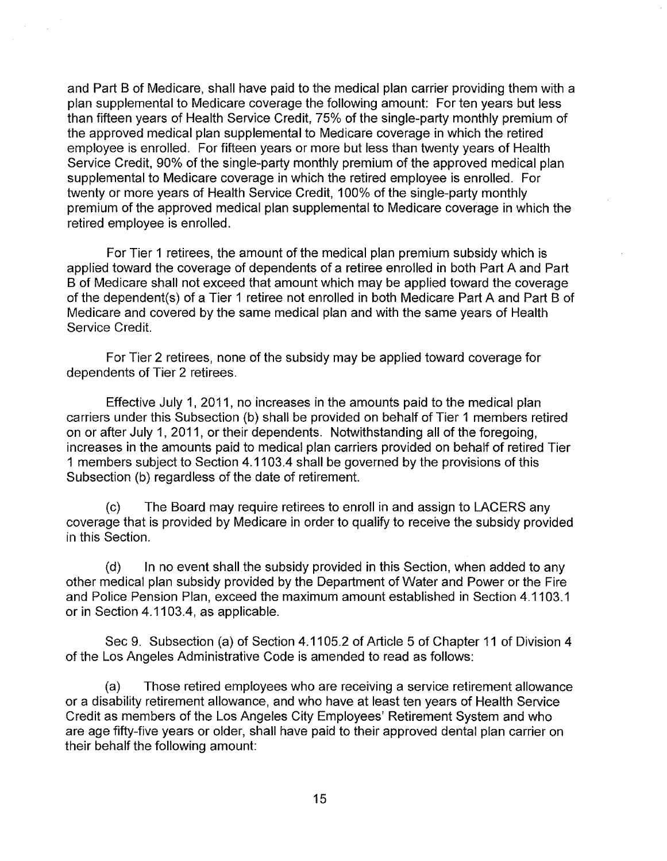and Part B of Medicare, shall have paid to the medical plan carrier providing them with a plan supplemental to Medicare coverage the following amount: For ten years but less than fifteen years of Health Service Credit, 75% of the single-party monthly premium of the approved medical plan supplemental to Medicare coverage in which the retired employee is enrolled. For fifteen years or more but less than twenty years of Health Service Credit, 90% of the single-party monthly premium of the approved medical plan supplemental to Medicare coverage in which the retired employee is enrolled. For twenty or more years of Health Service Credit, 100% of the single-party monthly premium of the approved medical plan supplemental to Medicare coverage in which the retired employee is enrolled.

For Tier 1 retirees, the amount of the medical plan premium subsidy which is applied toward the coverage of dependents of a retiree enrolled in both Part A and Part B of Medicare shall not exceed that amount which may be applied toward the coverage of the dependent(s) of a Tier 1 retiree not enrolled in both Medicare Part A and Part B of Medicare and covered by the same medical plan and with the same years of Health Service Credit.

For Tier 2 retirees, none of the subsidy may be applied toward coverage for dependents of Tier 2 retirees.

Effective July 1, 2011, no increases in the amounts paid to the medical plan carriers under this Subsection (b) shall be provided on behalf of Tier 1 members retired on or after July 1, 2011, or their dependents. Notwithstanding all of the foregoing, increases in the amounts paid to medical plan carriers provided on behalf of retired Tier 1 members subject to Section 4.1103.4 shall be governed by the provisions of this Subsection (b) regardless of the date of retirement.

(c) The Board may require retirees to enroll in and assign to LAGERS any coverage that is provided by Medicare in order to qualify to receive the subsidy provided in this Section.

(d) In no event shall the subsidy provided in this Section, when added to any other medical plan subsidy provided by the Department of Water and Power or the Fire and Police Pension Plan, exceed the maximum amount established in Section 4.1103.1 or in Section 4.1103.4, as applicable.

Sec 9. Subsection (a) of Section 4.1105.2 of Article 5 of Chapter 11 of Division 4 of the Los Angeles Administrative Code is amended to read as follows:

(a) Those retired employees who are receiving a service retirement allowance or a disability retirement allowance, and who have at least ten years of Health Service Credit as members of the Los Angeles City Employees' Retirement System and who are age fifty-five years or older, shall have paid to their approved dental plan carrier on their behalf the following amount: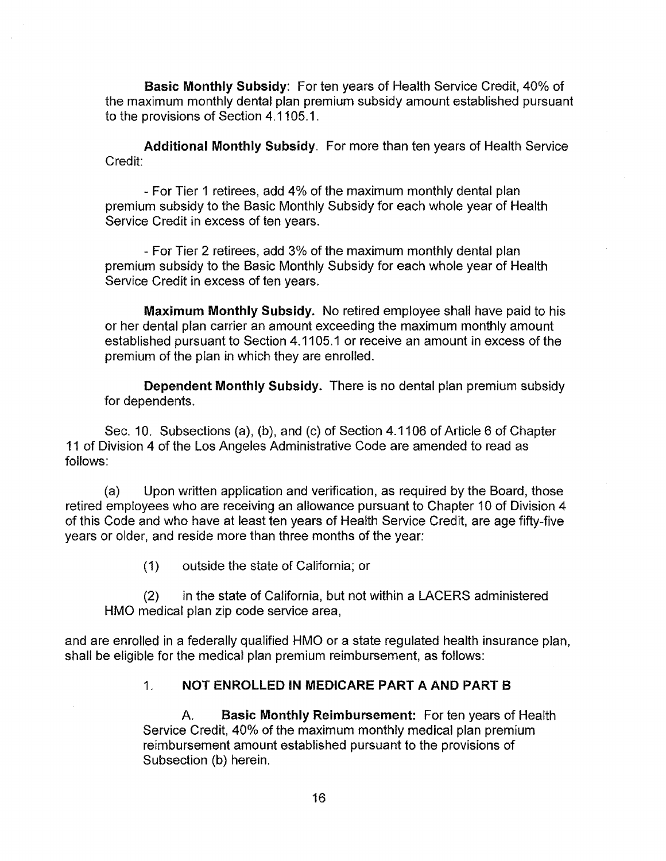Basic Monthly Subsidy: For ten years of Health Service Credit, 40% of the maximum monthly dental plan premium subsidy amount established pursuant to the provisions of Section 4.1105.1.

Additional Monthly Subsidy. For more than ten years of Health Service Credit:

- For Tier 1 retirees, add 4% of the maximum monthly dental plan premium subsidy to the Basic Monthly Subsidy for each whole year of Health Service Credit in excess of ten years.

- For Tier 2 retirees, add 3% of the maximum monthly dental plan premium subsidy to the Basic Monthly Subsidy for each whole year of Health Service Credit in excess of ten years.

Maximum Monthly Subsidy. No retired employee shall have paid to his or her dental plan carrier an amount exceeding the maximum monthly amount established pursuant to Section 4.1105.1 or receive an amount in excess of the premium of the plan in which they are enrolled.

Dependent Monthly Subsidy. There is no dental plan premium subsidy for dependents.

Sec. 10. Subsections (a), (b), and (c) of Section 4.1106 of Article 6 of Chapter 11 of Division 4 of the Los Angeles Administrative Code are amended to read as follows:

(a) Upon written application and verification, as required by the Board, those retired employees who are receiving an allowance pursuant to Chapter 10 of Division 4 of this Code and who have at least ten years of Health Service Credit, are age fifty-five years or older, and reside more than three months of the year:

(1) outside the state of California; or

(2) in the state of California, but not within a LAGERS administered HMO medical plan zip code service area,

and are enrolled in a federally qualified HMO or a state regulated health insurance plan, shall be eligible for the medical plan premium reimbursement, as follows:

## 1. NOT ENROLLED IN MEDICARE PART A AND PART B

A. Basic Monthly Reimbursement: For ten years of Health Service Credit, 40% of the maximum monthly medical plan premium reimbursement amount established pursuant to the provisions of Subsection (b) herein.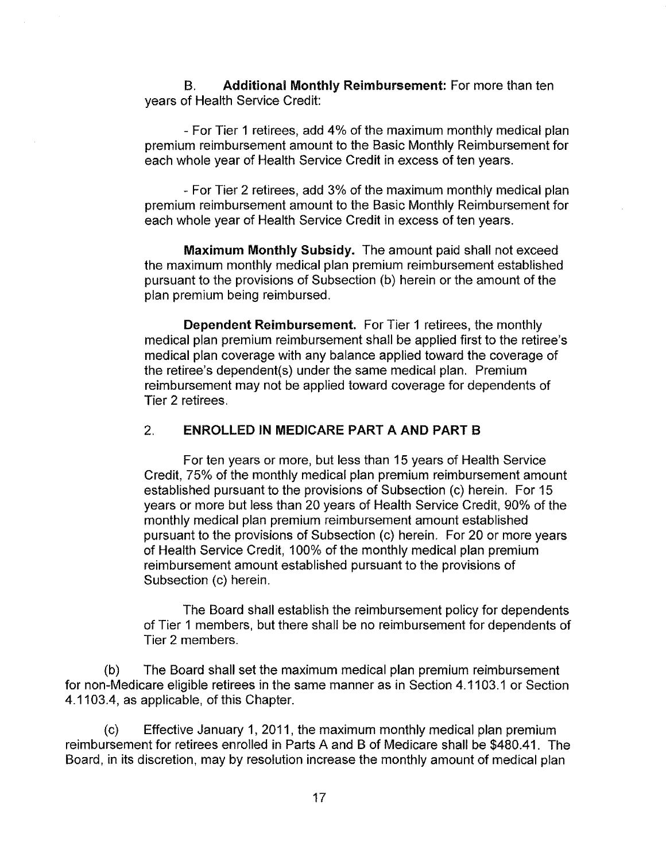B. Additional Monthly Reimbursement: For more than ten years of Health Service Credit:

-For Tier 1 retirees, add 4% of the maximum monthly medical plan premium reimbursement amount to the Basic Monthly Reimbursement for each whole year of Health Service Credit in excess of ten years.

- For Tier 2 retirees, add 3% of the maximum monthly medical plan premium reimbursement amount to the Basic Monthly Reimbursement for each whole year of Health Service Credit in excess of ten years.

Maximum Monthly Subsidy. The amount paid shall not exceed the maximum monthly medical plan premium reimbursement established pursuant to the provisions of Subsection (b) herein or the amount of the plan premium being reimbursed.

Dependent Reimbursement. For Tier 1 retirees, the monthly medical plan premium reimbursement shall be applied first to the retiree's medical plan coverage with any balance applied toward the coverage of the retiree's dependent(s) under the same medical plan. Premium reimbursement may not be applied toward coverage for dependents of Tier 2 retirees.

## 2. ENROLLED IN MEDICARE PART A AND PART B

For ten years or more, but less than 15 years of Health Service Credit, 75% of the monthly medical plan premium reimbursement amount established pursuant to the provisions of Subsection (c) herein. For 15 years or more but Jess than 20 years of Health Service Credit, 90% of the monthly medical plan premium reimbursement amount established pursuant to the provisions of Subsection (c) herein. For 20 or more years of Health Service Credit, 100% of the monthly medical plan premium reimbursement amount established pursuant to the provisions of Subsection (c) herein.

The Board shall establish the reimbursement policy for dependents of Tier 1 members, but there shall be no reimbursement for dependents of Tier 2 members.

(b) The Board shall set the maximum medical plan premium reimbursement for non-Medicare eligible retirees in the same manner as in Section 4.1103.1 or Section 4.11 03.4, as applicable, of this Chapter.

(c) Effective January 1, 2011, the maximum monthly medical plan premium reimbursement for retirees enrolled in Parts A and B of Medicare shall be \$480.41. The Board, in its discretion, may by resolution increase the monthly amount of medical plan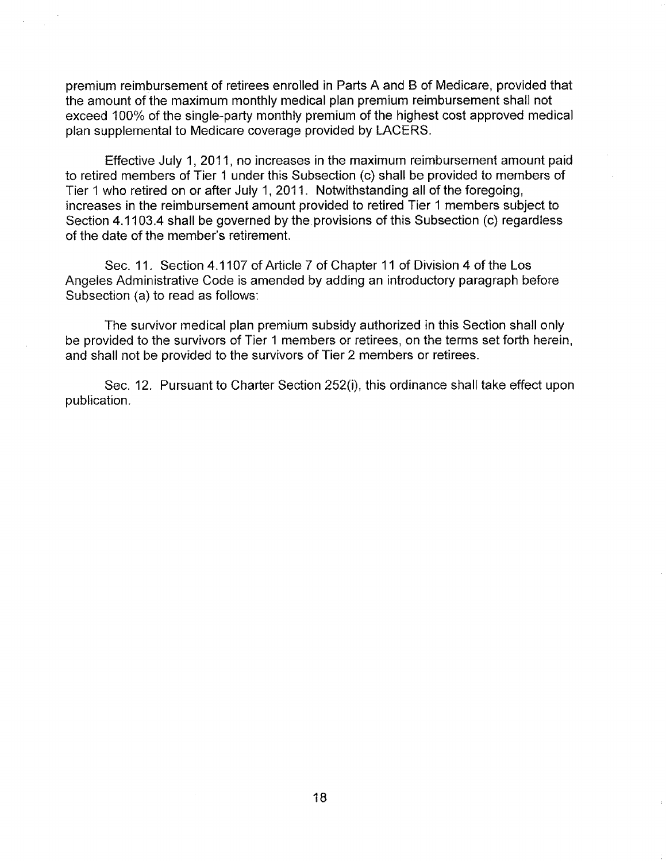premium reimbursement of retirees enrolled in Parts A and B of Medicare, provided that the amount of the maximum monthly medical plan premium reimbursement shall not exceed 100% of the single-party monthly premium of the highest cost approved medical plan supplemental to Medicare coverage provided by LAGERS.

Effective July 1, 2011, no increases in the maximum reimbursement amount paid to retired members of Tier 1 under this Subsection (c) shall be provided to members of Tier 1 who retired on or after July 1, 2011. Notwithstanding all of the foregoing, increases in the reimbursement amount provided to retired Tier 1 members subject to Section 4.1103.4 shall be governed by the provisions of this Subsection (c) regardless of the date of the member's retirement.

Sec. 11. Section 4.1107 of Article 7 of Chapter 11 of Division 4 of the Los Angeles Administrative Code is amended by adding an introductory paragraph before Subsection (a) to read as follows:

The survivor medical plan premium subsidy authorized in this Section shall only be provided to the survivors of Tier 1 members or retirees, on the terms set forth herein, and shall not be provided to the survivors of Tier 2 members or retirees.

Sec. 12. Pursuant to Charter Section 252(i), this ordinance shall take effect upon publication.